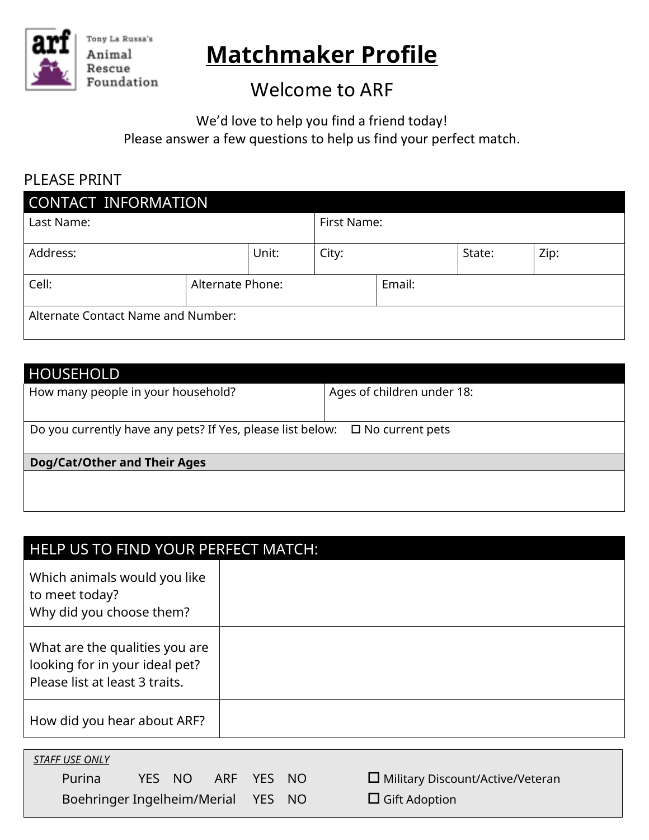

Tony La Russa's Animal Rescue Foundation

# **Matchmaker Profile**

### Welcome to ARF

We'd love to help you find a friend today!

Please answer a few questions to help us find your perfect match.

#### PLEASE PRINT

| CONTACT INFORMATION                |                  |       |             |        |        |      |  |
|------------------------------------|------------------|-------|-------------|--------|--------|------|--|
| Last Name:                         |                  |       | First Name: |        |        |      |  |
| Address:                           |                  | Unit: | City:       |        | State: | Zip: |  |
| Cell:                              | Alternate Phone: |       |             | Email: |        |      |  |
| Alternate Contact Name and Number: |                  |       |             |        |        |      |  |

#### HOLISEHOLD.

| 11 JUU 11 1 JU 11 1                                                               |                            |  |  |  |  |
|-----------------------------------------------------------------------------------|----------------------------|--|--|--|--|
| How many people in your household?                                                | Ages of children under 18: |  |  |  |  |
|                                                                                   |                            |  |  |  |  |
|                                                                                   |                            |  |  |  |  |
|                                                                                   |                            |  |  |  |  |
| Do you currently have any pets? If Yes, please list below: $\Box$ No current pets |                            |  |  |  |  |
|                                                                                   |                            |  |  |  |  |
|                                                                                   |                            |  |  |  |  |
| Dog/Cat/Other and Their Ages                                                      |                            |  |  |  |  |
|                                                                                   |                            |  |  |  |  |
|                                                                                   |                            |  |  |  |  |
|                                                                                   |                            |  |  |  |  |
|                                                                                   |                            |  |  |  |  |

| HELP US TO FIND YOUR PERFECT MATCH:                                                                |  |  |  |  |  |
|----------------------------------------------------------------------------------------------------|--|--|--|--|--|
| Which animals would you like<br>to meet today?<br>Why did you choose them?                         |  |  |  |  |  |
| What are the qualities you are<br>looking for in your ideal pet?<br>Please list at least 3 traits. |  |  |  |  |  |
| How did you hear about ARF?                                                                        |  |  |  |  |  |

| <b>STAFF USE ONLY</b>              |        |  |            |                                         |
|------------------------------------|--------|--|------------|-----------------------------------------|
| Purina                             | YES NO |  | ARF YES NO | $\Box$ Military Discount/Active/Veteran |
| Boehringer Ingelheim/Merial YES NO |        |  |            | $\Box$ Gift Adoption                    |